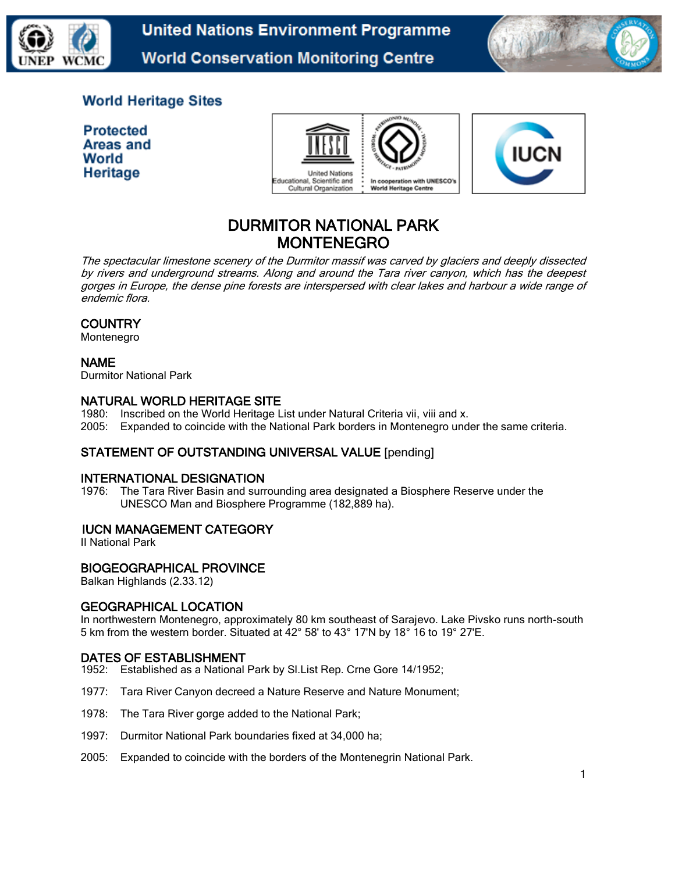

**United Nations Environment Programme World Conservation Monitoring Centre** 



## **World Heritage Sites**

**Protected Areas and** World Heritage





# DURMITOR NATIONAL PARK MONTENEGRO

The spectacular limestone scenery of the Durmitor massif was carved by glaciers and deeply dissected by rivers and underground streams. Along and around the Tara river canyon, which has the deepest gorges in Europe, the dense pine forests are interspersed with clear lakes and harbour a wide range of endemic flora.

## **COUNTRY**

Montenegro

## NAME

Durmitor National Park

## NATURAL WORLD HERITAGE SITE

- 1980: Inscribed on the World Heritage List under Natural Criteria vii, viii and x.
- 2005: Expanded to coincide with the National Park borders in Montenegro under the same criteria.

## STATEMENT OF OUTSTANDING UNIVERSAL VALUE [pending]

#### INTERNATIONAL DESIGNATION

1976: The Tara River Basin and surrounding area designated a Biosphere Reserve under the UNESCO Man and Biosphere Programme (182,889 ha).

## IUCN MANAGEMENT CATEGORY

II National Park

## BIOGEOGRAPHICAL PROVINCE

Balkan Highlands (2.33.12)

#### GEOGRAPHICAL LOCATION

In northwestern Montenegro, approximately 80 km southeast of Sarajevo. Lake Pivsko runs north-south 5 km from the western border. Situated at 42° 58' to 43° 17'N by 18° 16 to 19° 27'E.

#### DATES OF ESTABLISHMENT

- 1952: Established as a National Park by Sl.List Rep. Crne Gore 14/1952;
- 1977: Tara River Canyon decreed a Nature Reserve and Nature Monument;
- 1978: The Tara River gorge added to the National Park;
- 1997: Durmitor National Park boundaries fixed at 34,000 ha;
- 2005: Expanded to coincide with the borders of the Montenegrin National Park.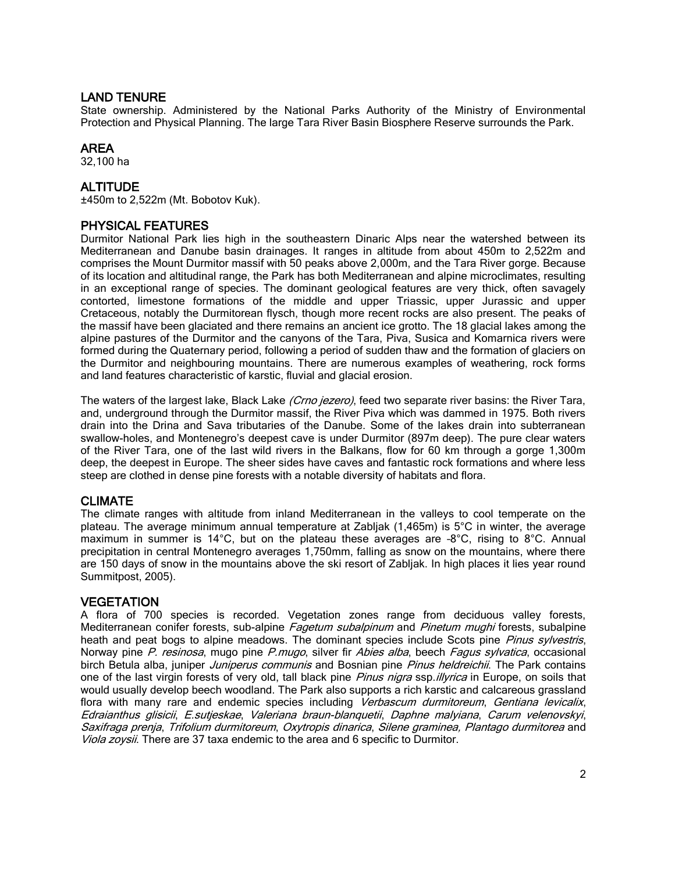#### LAND TENURE

State ownership. Administered by the National Parks Authority of the Ministry of Environmental Protection and Physical Planning. The large Tara River Basin Biosphere Reserve surrounds the Park.

## AREA

32,100 ha

## ALTITUDE

±450m to 2,522m (Mt. Bobotov Kuk).

## PHYSICAL FEATURES

Durmitor National Park lies high in the southeastern Dinaric Alps near the watershed between its Mediterranean and Danube basin drainages. It ranges in altitude from about 450m to 2,522m and comprises the Mount Durmitor massif with 50 peaks above 2,000m, and the Tara River gorge. Because of its location and altitudinal range, the Park has both Mediterranean and alpine microclimates, resulting in an exceptional range of species. The dominant geological features are very thick, often savagely contorted, limestone formations of the middle and upper Triassic, upper Jurassic and upper Cretaceous, notably the Durmitorean flysch, though more recent rocks are also present. The peaks of the massif have been glaciated and there remains an ancient ice grotto. The 18 glacial lakes among the alpine pastures of the Durmitor and the canyons of the Tara, Piva, Susica and Komarnica rivers were formed during the Quaternary period, following a period of sudden thaw and the formation of glaciers on the Durmitor and neighbouring mountains. There are numerous examples of weathering, rock forms and land features characteristic of karstic, fluvial and glacial erosion.

The waters of the largest lake, Black Lake (Crno jezero), feed two separate river basins: the River Tara, and, underground through the Durmitor massif, the River Piva which was dammed in 1975. Both rivers drain into the Drina and Sava tributaries of the Danube. Some of the lakes drain into subterranean swallow-holes, and Montenegro's deepest cave is under Durmitor (897m deep). The pure clear waters of the River Tara, one of the last wild rivers in the Balkans, flow for 60 km through a gorge 1,300m deep, the deepest in Europe. The sheer sides have caves and fantastic rock formations and where less steep are clothed in dense pine forests with a notable diversity of habitats and flora.

## CLIMATE

The climate ranges with altitude from inland Mediterranean in the valleys to cool temperate on the plateau. The average minimum annual temperature at Zabljak (1,465m) is 5°C in winter, the average maximum in summer is 14°C, but on the plateau these averages are –8°C, rising to 8°C. Annual precipitation in central Montenegro averages 1,750mm, falling as snow on the mountains, where there are 150 days of snow in the mountains above the ski resort of Zabljak. In high places it lies year round Summitpost, 2005).

#### **VEGETATION**

A flora of 700 species is recorded. Vegetation zones range from deciduous valley forests, Mediterranean conifer forests, sub-alpine Fagetum subalpinum and Pinetum mughi forests, subalpine heath and peat bogs to alpine meadows. The dominant species include Scots pine Pinus sylvestris, Norway pine P. resinosa, mugo pine P.mugo, silver fir Abies alba, beech Fagus sylvatica, occasional birch Betula alba, juniper Juniperus communis and Bosnian pine Pinus heldreichii. The Park contains one of the last virgin forests of very old, tall black pine Pinus nigra ssp.illyrica in Europe, on soils that would usually develop beech woodland. The Park also supports a rich karstic and calcareous grassland flora with many rare and endemic species including Verbascum durmitoreum, Gentiana levicalix, Edraianthus glisicii, E.sutjeskae, Valeriana braun-blanquetii, Daphne malyiana, Carum velenovskyi, Saxifraga prenja, Trifolium durmitoreum, Oxytropis dinarica, Silene graminea, Plantago durmitorea and Viola zoysii. There are 37 taxa endemic to the area and 6 specific to Durmitor.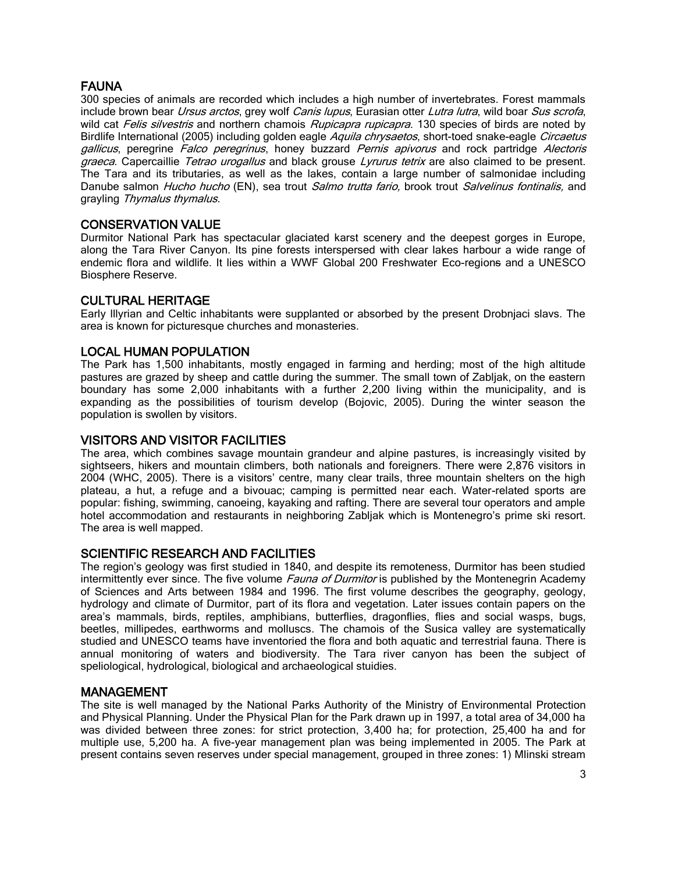## FAUNA

300 species of animals are recorded which includes a high number of invertebrates. Forest mammals include brown bear *Ursus arctos*, grey wolf Canis lupus, Eurasian otter Lutra lutra, wild boar Sus scrofa, wild cat Felis silvestris and northern chamois Rupicapra rupicapra. 130 species of birds are noted by Birdlife International (2005) including golden eagle Aquila chrysaetos, short-toed snake-eagle Circaetus gallicus, peregrine Falco peregrinus, honey buzzard Pernis apivorus and rock partridge Alectoris graeca. Capercaillie Tetrao urogallus and black grouse Lyrurus tetrix are also claimed to be present. The Tara and its tributaries, as well as the lakes, contain a large number of salmonidae including Danube salmon *Hucho hucho* (EN), sea trout *Salmo trutta fario,* brook trout *Salvelinus fontinalis*, and grayling Thymalus thymalus.

## CONSERVATION VALUE

Durmitor National Park has spectacular glaciated karst scenery and the deepest gorges in Europe, along the Tara River Canyon. Its pine forests interspersed with clear lakes harbour a wide range of endemic flora and wildlife. It lies within a WWF Global 200 Freshwater Eco-regions and a UNESCO Biosphere Reserve.

## CULTURAL HERITAGE

Early Illyrian and Celtic inhabitants were supplanted or absorbed by the present Drobnjaci slavs. The area is known for picturesque churches and monasteries.

## LOCAL HUMAN POPULATION

The Park has 1,500 inhabitants, mostly engaged in farming and herding; most of the high altitude pastures are grazed by sheep and cattle during the summer. The small town of Zabljak, on the eastern boundary has some 2,000 inhabitants with a further 2,200 living within the municipality, and is expanding as the possibilities of tourism develop (Bojovic, 2005). During the winter season the population is swollen by visitors.

## VISITORS AND VISITOR FACILITIES

The area, which combines savage mountain grandeur and alpine pastures, is increasingly visited by sightseers, hikers and mountain climbers, both nationals and foreigners. There were 2,876 visitors in 2004 (WHC, 2005). There is a visitors' centre, many clear trails, three mountain shelters on the high plateau, a hut, a refuge and a bivouac; camping is permitted near each. Water-related sports are popular: fishing, swimming, canoeing, kayaking and rafting. There are several tour operators and ample hotel accommodation and restaurants in neighboring Zabljak which is Montenegro's prime ski resort. The area is well mapped.

## SCIENTIFIC RESEARCH AND FACILITIES

The region's geology was first studied in 1840, and despite its remoteness, Durmitor has been studied intermittently ever since. The five volume *Fauna of Durmitor* is published by the Montenegrin Academy of Sciences and Arts between 1984 and 1996. The first volume describes the geography, geology, hydrology and climate of Durmitor, part of its flora and vegetation. Later issues contain papers on the area's mammals, birds, reptiles, amphibians, butterflies, dragonflies, flies and social wasps, bugs, beetles, millipedes, earthworms and molluscs. The chamois of the Susica valley are systematically studied and UNESCO teams have inventoried the flora and both aquatic and terrestrial fauna. There is annual monitoring of waters and biodiversity. The Tara river canyon has been the subject of speliological, hydrological, biological and archaeological stuidies.

#### MANAGEMENT

The site is well managed by the National Parks Authority of the Ministry of Environmental Protection and Physical Planning. Under the Physical Plan for the Park drawn up in 1997, a total area of 34,000 ha was divided between three zones: for strict protection, 3,400 ha; for protection, 25,400 ha and for multiple use, 5,200 ha. A five-year management plan was being implemented in 2005. The Park at present contains seven reserves under special management, grouped in three zones: 1) Mlinski stream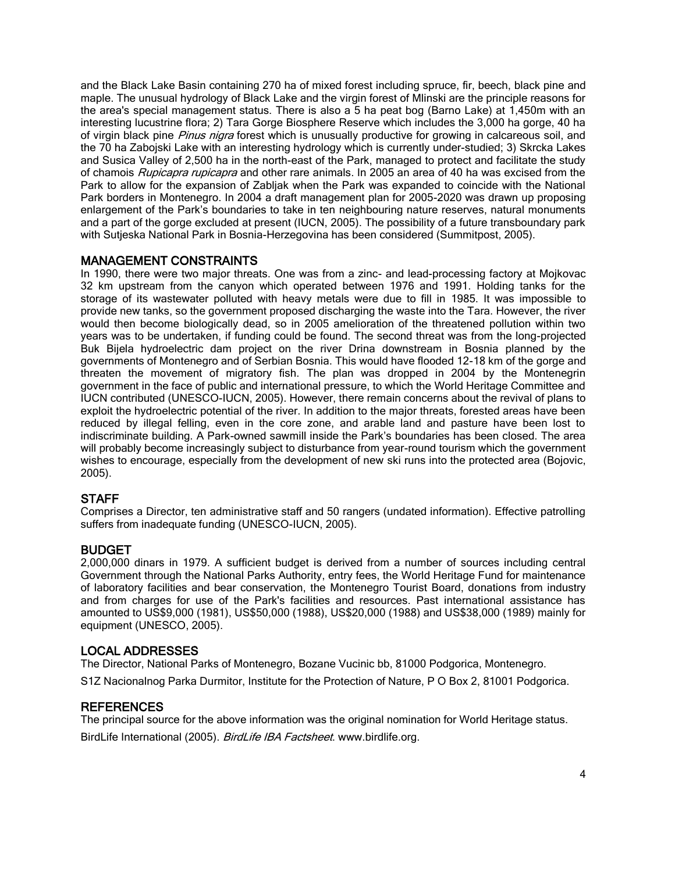and the Black Lake Basin containing 270 ha of mixed forest including spruce, fir, beech, black pine and maple. The unusual hydrology of Black Lake and the virgin forest of Mlinski are the principle reasons for the area's special management status. There is also a 5 ha peat bog (Barno Lake) at 1,450m with an interesting lucustrine flora; 2) Tara Gorge Biosphere Reserve which includes the 3,000 ha gorge, 40 ha of virgin black pine Pinus nigra forest which is unusually productive for growing in calcareous soil, and the 70 ha Zabojski Lake with an interesting hydrology which is currently under-studied; 3) Skrcka Lakes and Susica Valley of 2,500 ha in the north-east of the Park, managed to protect and facilitate the study of chamois *Rupicapra rupicapra* and other rare animals. In 2005 an area of 40 ha was excised from the Park to allow for the expansion of Zabljak when the Park was expanded to coincide with the National Park borders in Montenegro. In 2004 a draft management plan for 2005-2020 was drawn up proposing enlargement of the Park's boundaries to take in ten neighbouring nature reserves, natural monuments and a part of the gorge excluded at present (IUCN, 2005). The possibility of a future transboundary park with Sutjeska National Park in Bosnia-Herzegovina has been considered (Summitpost, 2005).

## MANAGEMENT CONSTRAINTS

In 1990, there were two major threats. One was from a zinc- and lead-processing factory at Mojkovac 32 km upstream from the canyon which operated between 1976 and 1991. Holding tanks for the storage of its wastewater polluted with heavy metals were due to fill in 1985. It was impossible to provide new tanks, so the government proposed discharging the waste into the Tara. However, the river would then become biologically dead, so in 2005 amelioration of the threatened pollution within two years was to be undertaken, if funding could be found. The second threat was from the long-projected Buk Bijela hydroelectric dam project on the river Drina downstream in Bosnia planned by the governments of Montenegro and of Serbian Bosnia. This would have flooded 12-18 km of the gorge and threaten the movement of migratory fish. The plan was dropped in 2004 by the Montenegrin government in the face of public and international pressure, to which the World Heritage Committee and IUCN contributed (UNESCO-IUCN, 2005). However, there remain concerns about the revival of plans to exploit the hydroelectric potential of the river. In addition to the major threats, forested areas have been reduced by illegal felling, even in the core zone, and arable land and pasture have been lost to indiscriminate building. A Park-owned sawmill inside the Park's boundaries has been closed. The area will probably become increasingly subject to disturbance from year-round tourism which the government wishes to encourage, especially from the development of new ski runs into the protected area (Bojovic, 2005).

#### **STAFF**

Comprises a Director, ten administrative staff and 50 rangers (undated information). Effective patrolling suffers from inadequate funding (UNESCO-IUCN, 2005).

#### BUDGET

2,000,000 dinars in 1979. A sufficient budget is derived from a number of sources including central Government through the National Parks Authority, entry fees, the World Heritage Fund for maintenance of laboratory facilities and bear conservation, the Montenegro Tourist Board, donations from industry and from charges for use of the Park's facilities and resources. Past international assistance has amounted to US\$9,000 (1981), US\$50,000 (1988), US\$20,000 (1988) and US\$38,000 (1989) mainly for equipment (UNESCO, 2005).

#### LOCAL ADDRESSES

The Director, National Parks of Montenegro, Bozane Vucinic bb, 81000 Podgorica, Montenegro.

S1Z Nacionalnog Parka Durmitor, Institute for the Protection of Nature, P O Box 2, 81001 Podgorica.

#### REFERENCES

The principal source for the above information was the original nomination for World Heritage status. BirdLife International (2005). BirdLife IBA Factsheet. www.birdlife.org.